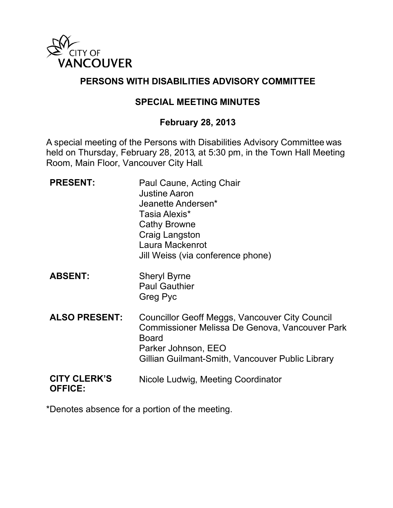

# **PERSONS WITH DISABILITIES ADVISORY COMMITTEE**

# **SPECIAL MEETING MINUTES**

## **February 28, 2013**

A special meeting of the Persons with Disabilities Advisory Committee was held on Thursday, February 28, 2013, at 5:30 pm, in the Town Hall Meeting Room, Main Floor, Vancouver City Hall.

| <b>PRESENT:</b>                       | Paul Caune, Acting Chair<br><b>Justine Aaron</b><br>Jeanette Andersen*<br>Tasia Alexis*<br><b>Cathy Browne</b><br>Craig Langston<br>Laura Mackenrot<br>Jill Weiss (via conference phone)    |
|---------------------------------------|---------------------------------------------------------------------------------------------------------------------------------------------------------------------------------------------|
| <b>ABSENT:</b>                        | <b>Sheryl Byrne</b><br><b>Paul Gauthier</b><br>Greg Pyc                                                                                                                                     |
| <b>ALSO PRESENT:</b>                  | Councillor Geoff Meggs, Vancouver City Council<br>Commissioner Melissa De Genova, Vancouver Park<br><b>Board</b><br>Parker Johnson, EEO<br>Gillian Guilmant-Smith, Vancouver Public Library |
| <b>CITY CLERK'S</b><br><b>OFFICE:</b> | Nicole Ludwig, Meeting Coordinator                                                                                                                                                          |

\*Denotes absence for a portion of the meeting.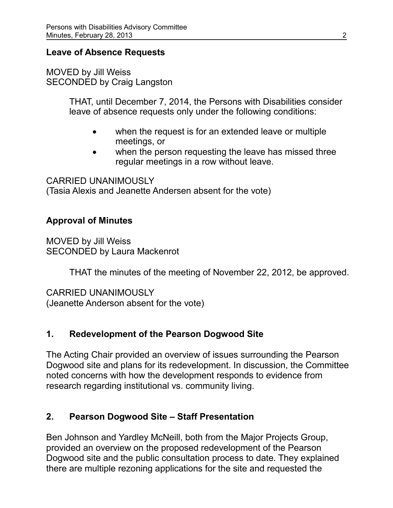## **Leave of Absence Requests**

MOVED by Jill Weiss SECONDED by Craig Langston

> THAT, until December 7, 2014, the Persons with Disabilities consider leave of absence requests only under the following conditions:

- when the request is for an extended leave or multiple meetings, or
- when the person requesting the leave has missed three regular meetings in a row without leave.

CARRIED UNANIMOUSLY (Tasia Alexis and Jeanette Andersen absent for the vote)

## **Approval of Minutes**

MOVED by Jill Weiss SECONDED by Laura Mackenrot

THAT the minutes of the meeting of November 22, 2012, be approved.

CARRIED UNANIMOUSLY (Jeanette Anderson absent for the vote)

# **1. Redevelopment of the Pearson Dogwood Site**

The Acting Chair provided an overview of issues surrounding the Pearson Dogwood site and plans for its redevelopment. In discussion, the Committee noted concerns with how the development responds to evidence from research regarding institutional vs. community living.

#### **2. Pearson Dogwood Site – Staff Presentation**

Ben Johnson and Yardley McNeill, both from the Major Projects Group, provided an overview on the proposed redevelopment of the Pearson Dogwood site and the public consultation process to date. They explained there are multiple rezoning applications for the site and requested the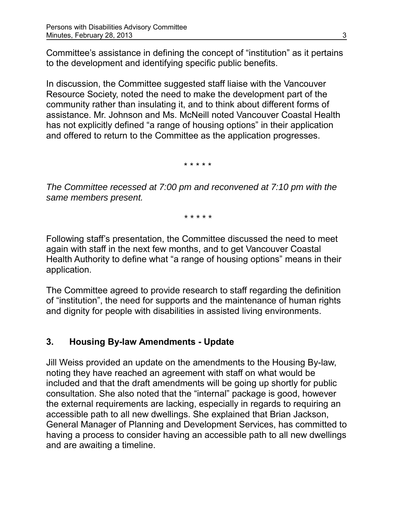Committee's assistance in defining the concept of "institution" as it pertains to the development and identifying specific public benefits.

In discussion, the Committee suggested staff liaise with the Vancouver Resource Society, noted the need to make the development part of the community rather than insulating it, and to think about different forms of assistance. Mr. Johnson and Ms. McNeill noted Vancouver Coastal Health has not explicitly defined "a range of housing options" in their application and offered to return to the Committee as the application progresses.

\* \* \* \* \*

*The Committee recessed at 7:00 pm and reconvened at 7:10 pm with the same members present.*

*\* \* \* \* \**

Following staff's presentation, the Committee discussed the need to meet again with staff in the next few months, and to get Vancouver Coastal Health Authority to define what "a range of housing options" means in their application.

The Committee agreed to provide research to staff regarding the definition of "institution", the need for supports and the maintenance of human rights and dignity for people with disabilities in assisted living environments.

# **3. Housing By-law Amendments - Update**

Jill Weiss provided an update on the amendments to the Housing By-law, noting they have reached an agreement with staff on what would be included and that the draft amendments will be going up shortly for public consultation. She also noted that the "internal" package is good, however the external requirements are lacking, especially in regards to requiring an accessible path to all new dwellings. She explained that Brian Jackson, General Manager of Planning and Development Services, has committed to having a process to consider having an accessible path to all new dwellings and are awaiting a timeline.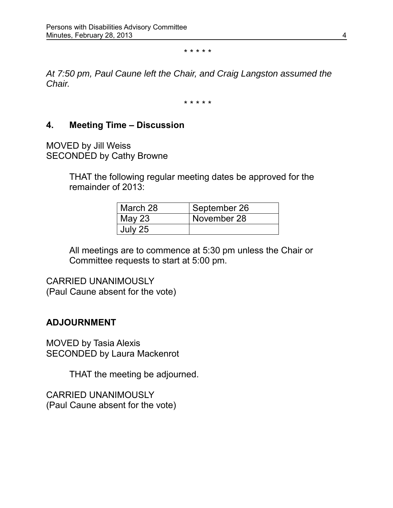\* \* \* \* \*

*At 7:50 pm, Paul Caune left the Chair, and Craig Langston assumed the Chair.*

\* \* \* \* \*

#### **4. Meeting Time – Discussion**

MOVED by Jill Weiss SECONDED by Cathy Browne

> THAT the following regular meeting dates be approved for the remainder of 2013:

| March 28      | September 26 |
|---------------|--------------|
| <b>May 23</b> | November 28  |
| July 25       |              |

All meetings are to commence at 5:30 pm unless the Chair or Committee requests to start at 5:00 pm.

CARRIED UNANIMOUSLY (Paul Caune absent for the vote)

#### **ADJOURNMENT**

MOVED by Tasia Alexis SECONDED by Laura Mackenrot

THAT the meeting be adjourned.

CARRIED UNANIMOUSLY (Paul Caune absent for the vote)